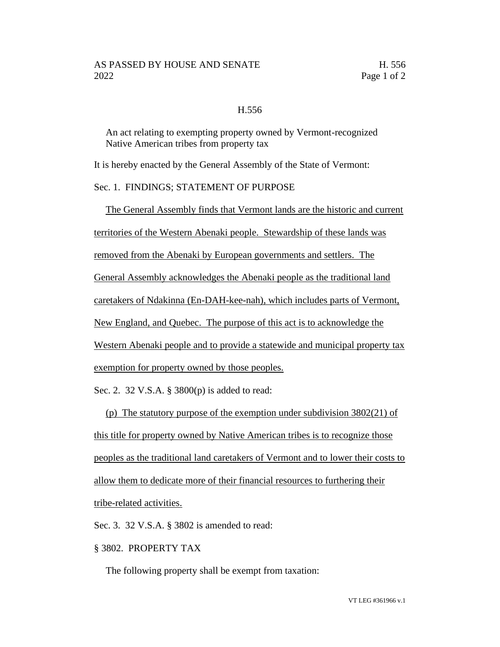## H.556

An act relating to exempting property owned by Vermont-recognized Native American tribes from property tax

It is hereby enacted by the General Assembly of the State of Vermont:

## Sec. 1. FINDINGS; STATEMENT OF PURPOSE

The General Assembly finds that Vermont lands are the historic and current territories of the Western Abenaki people. Stewardship of these lands was removed from the Abenaki by European governments and settlers. The General Assembly acknowledges the Abenaki people as the traditional land caretakers of Ndakinna (En-DAH-kee-nah), which includes parts of Vermont, New England, and Quebec. The purpose of this act is to acknowledge the Western Abenaki people and to provide a statewide and municipal property tax exemption for property owned by those peoples.

Sec. 2. 32 V.S.A. § 3800(p) is added to read:

(p) The statutory purpose of the exemption under subdivision 3802(21) of this title for property owned by Native American tribes is to recognize those peoples as the traditional land caretakers of Vermont and to lower their costs to allow them to dedicate more of their financial resources to furthering their tribe-related activities.

Sec. 3. 32 V.S.A. § 3802 is amended to read:

§ 3802. PROPERTY TAX

The following property shall be exempt from taxation: